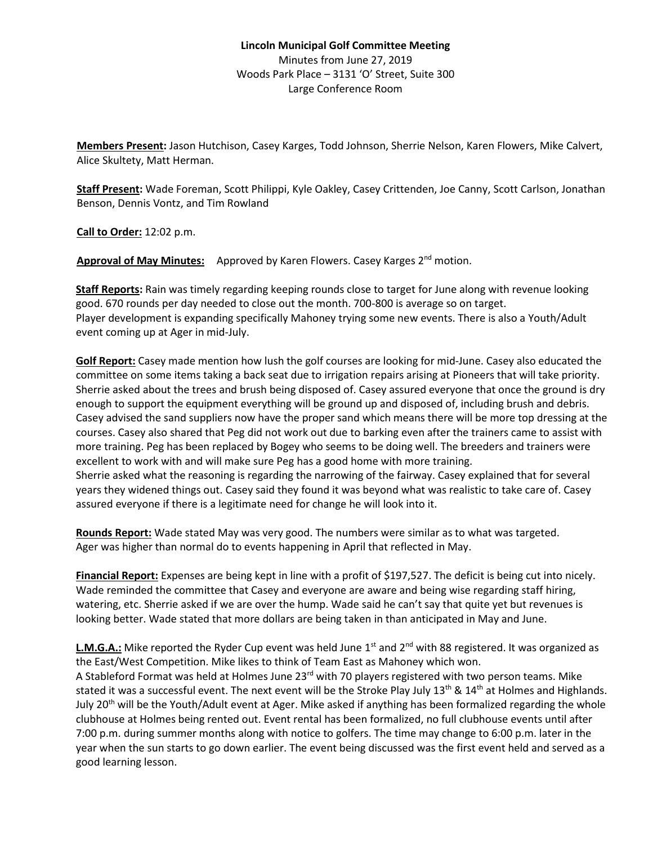## **Lincoln Municipal Golf Committee Meeting** Minutes from June 27, 2019 Woods Park Place – 3131 'O' Street, Suite 300 Large Conference Room

**Members Present:** Jason Hutchison, Casey Karges, Todd Johnson, Sherrie Nelson, Karen Flowers, Mike Calvert, Alice Skultety, Matt Herman.

**Staff Present:** Wade Foreman, Scott Philippi, Kyle Oakley, Casey Crittenden, Joe Canny, Scott Carlson, Jonathan Benson, Dennis Vontz, and Tim Rowland

**Call to Order:** 12:02 p.m.

Approval of May Minutes: Approved by Karen Flowers. Casey Karges 2<sup>nd</sup> motion.

**Staff Reports:** Rain was timely regarding keeping rounds close to target for June along with revenue looking good. 670 rounds per day needed to close out the month. 700-800 is average so on target. Player development is expanding specifically Mahoney trying some new events. There is also a Youth/Adult event coming up at Ager in mid-July.

**Golf Report:** Casey made mention how lush the golf courses are looking for mid-June. Casey also educated the committee on some items taking a back seat due to irrigation repairs arising at Pioneers that will take priority. Sherrie asked about the trees and brush being disposed of. Casey assured everyone that once the ground is dry enough to support the equipment everything will be ground up and disposed of, including brush and debris. Casey advised the sand suppliers now have the proper sand which means there will be more top dressing at the courses. Casey also shared that Peg did not work out due to barking even after the trainers came to assist with more training. Peg has been replaced by Bogey who seems to be doing well. The breeders and trainers were excellent to work with and will make sure Peg has a good home with more training. Sherrie asked what the reasoning is regarding the narrowing of the fairway. Casey explained that for several years they widened things out. Casey said they found it was beyond what was realistic to take care of. Casey assured everyone if there is a legitimate need for change he will look into it.

**Rounds Report:** Wade stated May was very good. The numbers were similar as to what was targeted. Ager was higher than normal do to events happening in April that reflected in May.

**Financial Report:** Expenses are being kept in line with a profit of \$197,527. The deficit is being cut into nicely. Wade reminded the committee that Casey and everyone are aware and being wise regarding staff hiring, watering, etc. Sherrie asked if we are over the hump. Wade said he can't say that quite yet but revenues is looking better. Wade stated that more dollars are being taken in than anticipated in May and June.

**L.M.G.A.:** Mike reported the Ryder Cup event was held June  $1<sup>st</sup>$  and  $2<sup>nd</sup>$  with 88 registered. It was organized as the East/West Competition. Mike likes to think of Team East as Mahoney which won.

A Stableford Format was held at Holmes June 23<sup>rd</sup> with 70 players registered with two person teams. Mike stated it was a successful event. The next event will be the Stroke Play July 13<sup>th</sup> & 14<sup>th</sup> at Holmes and Highlands. July 20<sup>th</sup> will be the Youth/Adult event at Ager. Mike asked if anything has been formalized regarding the whole clubhouse at Holmes being rented out. Event rental has been formalized, no full clubhouse events until after 7:00 p.m. during summer months along with notice to golfers. The time may change to 6:00 p.m. later in the year when the sun starts to go down earlier. The event being discussed was the first event held and served as a good learning lesson.